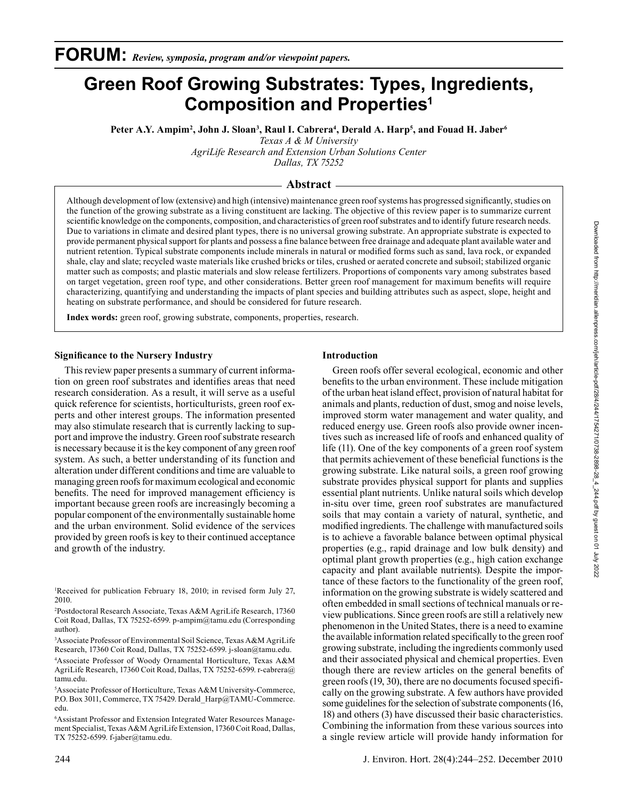Peter A.Y. Ampim<sup>2</sup>, John J. Sloan<sup>3</sup>, Raul I. Cabrera<sup>4</sup>, Derald A. Harp<sup>5</sup>, and Fouad H. Jaber<sup>6</sup>

*Texas A & M University*

*AgriLife Research and Extension Urban Solutions Center Dallas, TX 75252*

## **Abstract**

Although development of low (extensive) and high (intensive) maintenance green roof systems has progressed significantly, studies on the function of the growing substrate as a living constituent are lacking. The objective of this review paper is to summarize current scientific knowledge on the components, composition, and characteristics of green roof substrates and to identify future research needs. Due to variations in climate and desired plant types, there is no universal growing substrate. An appropriate substrate is expected to provide permanent physical support for plants and possess a fine balance between free drainage and adequate plant available water and nutrient retention. Typical substrate components include minerals in natural or modified forms such as sand, lava rock, or expanded shale, clay and slate; recycled waste materials like crushed bricks or tiles, crushed or aerated concrete and subsoil; stabilized organic matter such as composts; and plastic materials and slow release fertilizers. Proportions of components vary among substrates based on target vegetation, green roof type, and other considerations. Better green roof management for maximum benefits will require characterizing, quantifying and understanding the impacts of plant species and building attributes such as aspect, slope, height and heating on substrate performance, and should be considered for future research.

**Index words:** green roof, growing substrate, components, properties, research.

## **Significance to the Nursery Industry**

This review paper presents a summary of current information on green roof substrates and identifies areas that need research consideration. As a result, it will serve as a useful quick reference for scientists, horticulturists, green roof experts and other interest groups. The information presented may also stimulate research that is currently lacking to support and improve the industry. Green roof substrate research is necessary because it is the key component of any green roof system. As such, a better understanding of its function and alteration under different conditions and time are valuable to managing green roofs for maximum ecological and economic benefits. The need for improved management efficiency is important because green roofs are increasingly becoming a popular component of the environmentally sustainable home and the urban environment. Solid evidence of the services provided by green roofs is key to their continued acceptance and growth of the industry.

1 Received for publication February 18, 2010; in revised form July 27, 2010.

2 Postdoctoral Research Associate, Texas A&M AgriLife Research, 17360 Coit Road, Dallas, TX 75252-6599. p-ampim@tamu.edu (Corresponding author).

3 Associate Professor of Environmental Soil Science, Texas A&M AgriLife Research, 17360 Coit Road, Dallas, TX 75252-6599. j-sloan@tamu.edu.

4 Associate Professor of Woody Ornamental Horticulture, Texas A&M AgriLife Research, 17360 Coit Road, Dallas, TX 75252-6599. r-cabrera@ tamu.edu.

5 Associate Professor of Horticulture, Texas A&M University-Commerce, P.O. Box 3011, Commerce, TX 75429. Derald\_Harp@TAMU-Commerce. edu.

6 Assistant Professor and Extension Integrated Water Resources Management Specialist, Texas A&M AgriLife Extension, 17360 Coit Road, Dallas, TX 75252-6599. f-jaber@tamu.edu.

# **Introduction**

Green roofs offer several ecological, economic and other benefits to the urban environment. These include mitigation of the urban heat island effect, provision of natural habitat for animals and plants, reduction of dust, smog and noise levels, improved storm water management and water quality, and reduced energy use. Green roofs also provide owner incentives such as increased life of roofs and enhanced quality of life (11). One of the key components of a green roof system that permits achievement of these beneficial functions is the growing substrate. Like natural soils, a green roof growing substrate provides physical support for plants and supplies essential plant nutrients. Unlike natural soils which develop in-situ over time, green roof substrates are manufactured soils that may contain a variety of natural, synthetic, and modified ingredients. The challenge with manufactured soils is to achieve a favorable balance between optimal physical properties (e.g., rapid drainage and low bulk density) and optimal plant growth properties (e.g., high cation exchange capacity and plant available nutrients). Despite the importance of these factors to the functionality of the green roof, information on the growing substrate is widely scattered and often embedded in small sections of technical manuals or review publications. Since green roofs are still a relatively new phenomenon in the United States, there is a need to examine the available information related specifically to the green roof growing substrate, including the ingredients commonly used and their associated physical and chemical properties. Even though there are review articles on the general benefits of green roofs (19, 30), there are no documents focused specifically on the growing substrate. A few authors have provided some guidelines for the selection of substrate components (16, 18) and others (3) have discussed their basic characteristics. Combining the information from these various sources into a single review article will provide handy information for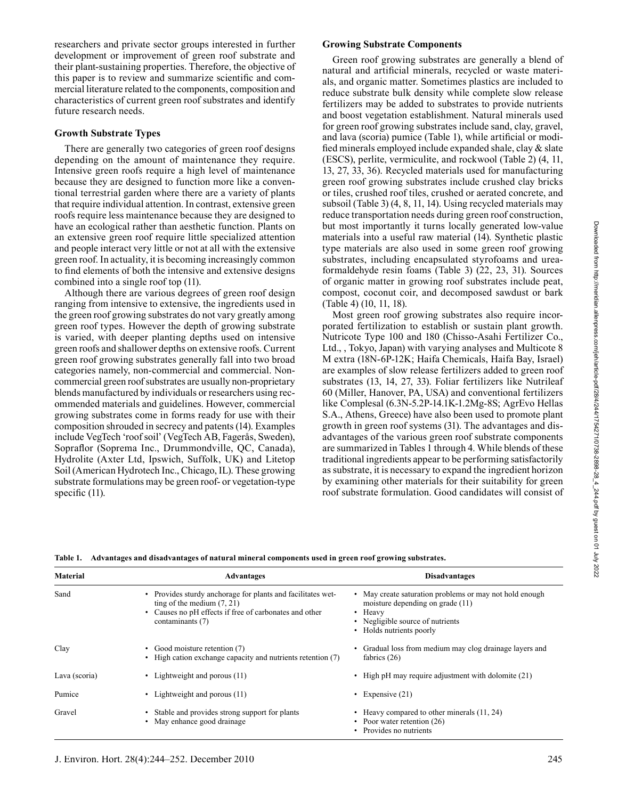researchers and private sector groups interested in further development or improvement of green roof substrate and their plant-sustaining properties. Therefore, the objective of this paper is to review and summarize scientific and commercial literature related to the components, composition and characteristics of current green roof substrates and identify future research needs.

## **Growth Substrate Types**

There are generally two categories of green roof designs depending on the amount of maintenance they require. Intensive green roofs require a high level of maintenance because they are designed to function more like a conventional terrestrial garden where there are a variety of plants that require individual attention. In contrast, extensive green roofs require less maintenance because they are designed to have an ecological rather than aesthetic function. Plants on an extensive green roof require little specialized attention and people interact very little or not at all with the extensive green roof. In actuality, it is becoming increasingly common to find elements of both the intensive and extensive designs combined into a single roof top (11).

Although there are various degrees of green roof design ranging from intensive to extensive, the ingredients used in the green roof growing substrates do not vary greatly among green roof types. However the depth of growing substrate is varied, with deeper planting depths used on intensive green roofs and shallower depths on extensive roofs. Current green roof growing substrates generally fall into two broad categories namely, non-commercial and commercial. Noncommercial green roof substrates are usually non-proprietary blends manufactured by individuals or researchers using recommended materials and guidelines. However, commercial growing substrates come in forms ready for use with their composition shrouded in secrecy and patents (14). Examples include VegTech 'roof soil' (VegTech AB, Fagerås, Sweden), Sopraflor (Soprema Inc., Drummondville, QC, Canada), Hydrolite (Axter Ltd, Ipswich, Suffolk, UK) and Litetop Soil (American Hydrotech Inc., Chicago, IL). These growing substrate formulations may be green roof- or vegetation-type specific  $(11)$ .

# **Growing Substrate Components**

Green roof growing substrates are generally a blend of natural and artificial minerals, recycled or waste materials, and organic matter. Sometimes plastics are included to reduce substrate bulk density while complete slow release fertilizers may be added to substrates to provide nutrients and boost vegetation establishment. Natural minerals used for green roof growing substrates include sand, clay, gravel, and lava (scoria) pumice (Table 1), while artificial or modified minerals employed include expanded shale, clay  $&$  slate (ESCS), perlite, vermiculite, and rockwool (Table 2) (4, 11, 13, 27, 33, 36). Recycled materials used for manufacturing green roof growing substrates include crushed clay bricks or tiles, crushed roof tiles, crushed or aerated concrete, and subsoil (Table 3) (4, 8, 11, 14). Using recycled materials may reduce transportation needs during green roof construction, but most importantly it turns locally generated low-value materials into a useful raw material (14). Synthetic plastic type materials are also used in some green roof growing substrates, including encapsulated styrofoams and ureaformaldehyde resin foams (Table 3) (22, 23, 31). Sources of organic matter in growing roof substrates include peat, compost, coconut coir, and decomposed sawdust or bark (Table 4) (10, 11, 18).

Most green roof growing substrates also require incorporated fertilization to establish or sustain plant growth. Nutricote Type 100 and 180 (Chisso-Asahi Fertilizer Co., Ltd., , Tokyo, Japan) with varying analyses and Multicote 8 M extra (18N-6P-12K; Haifa Chemicals, Haifa Bay, Israel) are examples of slow release fertilizers added to green roof substrates (13, 14, 27, 33). Foliar fertilizers like Nutrileaf 60 (Miller, Hanover, PA, USA) and conventional fertilizers like Complesal (6.3N-5.2P-14.1K-1.2Mg-8S; AgrEvo Hellas S.A., Athens, Greece) have also been used to promote plant growth in green roof systems (31). The advantages and disadvantages of the various green roof substrate components are summarized in Tables 1 through 4. While blends of these traditional ingredients appear to be performing satisfactorily as substrate, it is necessary to expand the ingredient horizon by examining other materials for their suitability for green roof substrate formulation. Good candidates will consist of

**Table 1. Advantages and disadvantages of natural mineral components used in green roof growing substrates.** 

| <b>Material</b> | <b>Advantages</b>                                                                                                                                                         | <b>Disadvantages</b>                                                                                                                                                     |
|-----------------|---------------------------------------------------------------------------------------------------------------------------------------------------------------------------|--------------------------------------------------------------------------------------------------------------------------------------------------------------------------|
| Sand            | • Provides sturdy anchorage for plants and facilitates wet-<br>ting of the medium $(7, 21)$<br>• Causes no pH effects if free of carbonates and other<br>contaminants (7) | • May create saturation problems or may not hold enough<br>moisture depending on grade $(11)$<br>• Heavy<br>• Negligible source of nutrients<br>• Holds nutrients poorly |
| Clay            | • Good moisture retention (7)<br>• High cation exchange capacity and nutrients retention (7)                                                                              | Gradual loss from medium may clog drainage layers and<br>fabrics $(26)$                                                                                                  |
| Lava (scoria)   | • Lightweight and porous $(11)$                                                                                                                                           | • High pH may require adjustment with dolomite (21)                                                                                                                      |
| Pumice          | • Lightweight and porous $(11)$                                                                                                                                           | • Expensive $(21)$                                                                                                                                                       |
| Gravel          | Stable and provides strong support for plants<br>• May enhance good drainage                                                                                              | • Heavy compared to other minerals (11, 24)<br>• Poor water retention $(26)$<br>• Provides no nutrients                                                                  |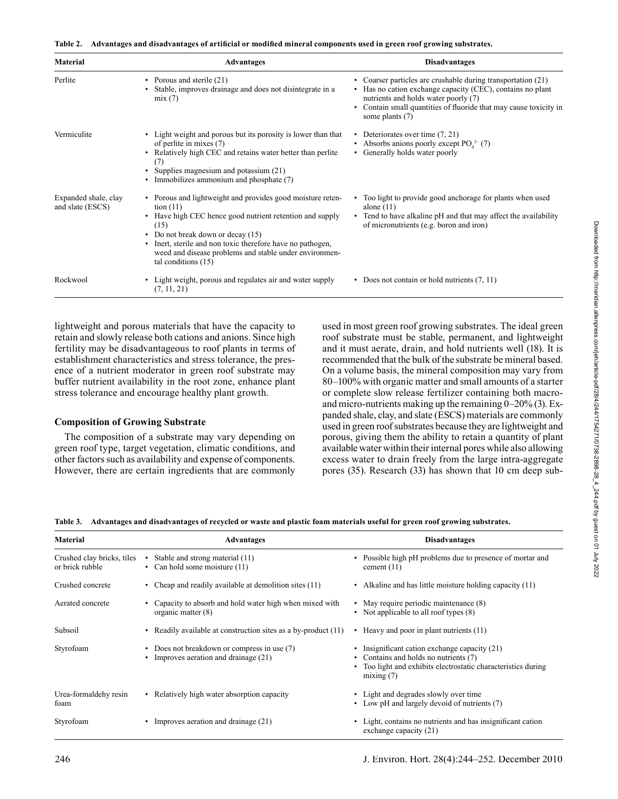|  | Table 2. Advantages and disadvantages of artificial or modified mineral components used in green roof growing substrates. |  |  |  |
|--|---------------------------------------------------------------------------------------------------------------------------|--|--|--|
|--|---------------------------------------------------------------------------------------------------------------------------|--|--|--|

| Material                                 | <b>Advantages</b>                                                                                                                                                                                                                                                                                                                               | <b>Disadvantages</b>                                                                                                                                                                                                                                 |
|------------------------------------------|-------------------------------------------------------------------------------------------------------------------------------------------------------------------------------------------------------------------------------------------------------------------------------------------------------------------------------------------------|------------------------------------------------------------------------------------------------------------------------------------------------------------------------------------------------------------------------------------------------------|
| Perlite                                  | Porous and sterile (21)<br>$\bullet$<br>Stable, improves drainage and does not disintegrate in a<br>mix(7)                                                                                                                                                                                                                                      | Coarser particles are crushable during transportation (21)<br>Has no cation exchange capacity (CEC), contains no plant<br>nutrients and holds water poorly (7)<br>Contain small quantities of fluoride that may cause toxicity in<br>some plants (7) |
| Vermiculite                              | Light weight and porous but its porosity is lower than that<br>of perlite in mixes (7)<br>Relatively high CEC and retains water better than perlite<br>$\bullet$<br>(7)<br>Supplies magnesium and potassium (21)<br>Immobilizes ammonium and phosphate (7)<br>$\bullet$                                                                         | Deteriorates over time (7, 21)<br>$\bullet$<br>• Absorbs anions poorly except $POA3-(7)$<br>Generally holds water poorly                                                                                                                             |
| Expanded shale, clay<br>and slate (ESCS) | • Porous and lightweight and provides good moisture reten-<br>$\frac{1}{1}$<br>Have high CEC hence good nutrient retention and supply<br>(15)<br>Do not break down or decay (15)<br>٠<br>Inert, sterile and non toxic therefore have no pathogen,<br>$\bullet$<br>weed and disease problems and stable under environmen-<br>tal conditions (15) | Too light to provide good anchorage for plants when used<br>alone $(11)$<br>• Tend to have alkaline pH and that may affect the availability<br>of micronutrients (e.g. boron and iron)                                                               |
| Rockwool                                 | Light weight, porous and regulates air and water supply<br>(7, 11, 21)                                                                                                                                                                                                                                                                          | • Does not contain or hold nutrients (7, 11)                                                                                                                                                                                                         |

lightweight and porous materials that have the capacity to retain and slowly release both cations and anions. Since high fertility may be disadvantageous to roof plants in terms of establishment characteristics and stress tolerance, the presence of a nutrient moderator in green roof substrate may buffer nutrient availability in the root zone, enhance plant stress tolerance and encourage healthy plant growth.

## **Composition of Growing Substrate**

The composition of a substrate may vary depending on green roof type, target vegetation, climatic conditions, and other factors such as availability and expense of components. However, there are certain ingredients that are commonly used in most green roof growing substrates. The ideal green roof substrate must be stable, permanent, and lightweight and it must aerate, drain, and hold nutrients well (18). It is recommended that the bulk of the substrate be mineral based. On a volume basis, the mineral composition may vary from 80–100% with organic matter and small amounts of a starter or complete slow release fertilizer containing both macroand micro-nutrients making up the remaining 0–20% (3). Expanded shale, clay, and slate (ESCS) materials are commonly used in green roof substrates because they are lightweight and porous, giving them the ability to retain a quantity of plant available water within their internal pores while also allowing excess water to drain freely from the large intra-aggregate pores (35). Research (33) has shown that 10 cm deep sub-

**Table 3. Advantages and disadvantages of recycled or waste and plastic foam materials useful for green roof growing substrates.**

| <b>Material</b>                               | <b>Advantages</b>                                                                    | <b>Disadvantages</b>                                                                                                                                               |
|-----------------------------------------------|--------------------------------------------------------------------------------------|--------------------------------------------------------------------------------------------------------------------------------------------------------------------|
| Crushed clay bricks, tiles<br>or brick rubble | Stable and strong material (11)<br>• Can hold some moisture $(11)$                   | Possible high pH problems due to presence of mortar and<br>cement $(11)$                                                                                           |
| Crushed concrete                              | Cheap and readily available at demolition sites (11)                                 | • Alkaline and has little moisture holding capacity (11)                                                                                                           |
| Aerated concrete                              | Capacity to absorb and hold water high when mixed with<br>organic matter $(8)$       | • May require periodic maintenance (8)<br>• Not applicable to all roof types (8)                                                                                   |
| Subsoil                                       | Readily available at construction sites as a by-product (11)                         | Heavy and poor in plant nutrients (11)<br>$\bullet$                                                                                                                |
| Styrofoam                                     | • Does not breakdown or compress in use (7)<br>• Improves aeration and drainage (21) | • Insignificant cation exchange capacity $(21)$<br>Contains and holds no nutrients (7)<br>Too light and exhibits electrostatic characteristics during<br>mixing(7) |
| Urea-formaldehy resin<br>foam                 | • Relatively high water absorption capacity                                          | • Light and degrades slowly over time<br>• Low pH and largely devoid of nutrients (7)                                                                              |
| Styrofoam                                     | Improves aeration and drainage (21)                                                  | Light, contains no nutrients and has insignificant cation<br>exchange capacity (21)                                                                                |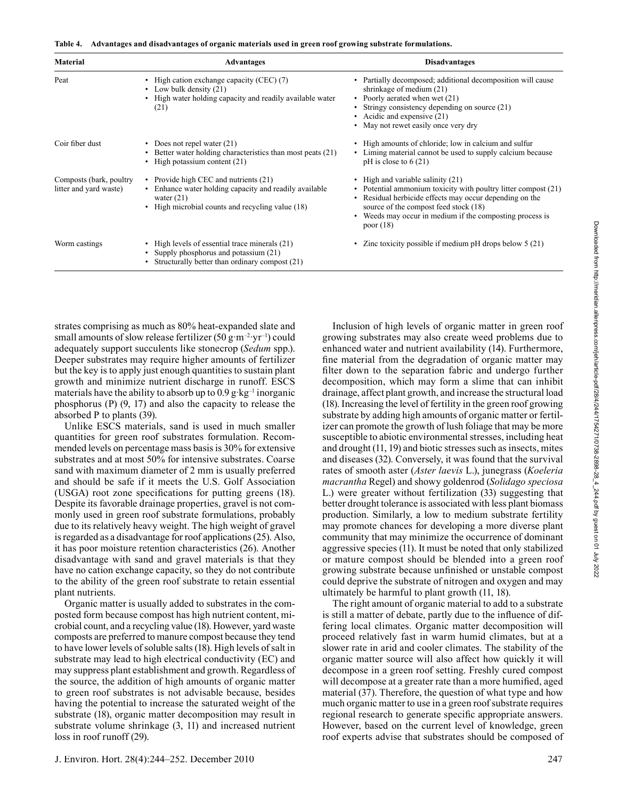|  |  |  | Table 4. Advantages and disadvantages of organic materials used in green roof growing substrate formulations. |  |  |  |
|--|--|--|---------------------------------------------------------------------------------------------------------------|--|--|--|
|--|--|--|---------------------------------------------------------------------------------------------------------------|--|--|--|

| <b>Material</b>                                   | <b>Advantages</b>                                                                                                                                                              | <b>Disadvantages</b>                                                                                                                                                                                                                                                             |
|---------------------------------------------------|--------------------------------------------------------------------------------------------------------------------------------------------------------------------------------|----------------------------------------------------------------------------------------------------------------------------------------------------------------------------------------------------------------------------------------------------------------------------------|
| Peat                                              | • High cation exchange capacity (CEC) (7)<br>• Low bulk density $(21)$<br>High water holding capacity and readily available water<br>(21)                                      | Partially decomposed; additional decomposition will cause<br>shrinkage of medium $(21)$<br>Poorly aerated when wet (21)<br>Stringy consistency depending on source (21)<br>• Acidic and expensive $(21)$<br>• May not rewet easily once very dry                                 |
| Coir fiber dust                                   | • Does not repel water $(21)$<br>Better water holding characteristics than most peats (21)<br>High potassium content (21)<br>٠                                                 | High amounts of chloride; low in calcium and sulfur<br>Liming material cannot be used to supply calcium because<br>$pH$ is close to 6 (21)                                                                                                                                       |
| Composts (bark, poultry<br>litter and yard waste) | • Provide high CEC and nutrients (21)<br>• Enhance water holding capacity and readily available<br>water $(21)$<br>High microbial counts and recycling value (18)<br>$\bullet$ | • High and variable salinity $(21)$<br>• Potential ammonium toxicity with poultry litter compost (21)<br>Residual herbicide effects may occur depending on the<br>source of the compost feed stock (18)<br>Weeds may occur in medium if the composting process is<br>poor $(18)$ |
| Worm castings                                     | • High levels of essential trace minerals (21)<br>Supply phosphorus and potassium (21)<br>٠<br>Structurally better than ordinary compost (21)                                  | Zinc toxicity possible if medium $pH$ drops below 5 (21)                                                                                                                                                                                                                         |

strates comprising as much as 80% heat-expanded slate and small amounts of slow release fertilizer (50 g·m<sup>-2</sup>·yr<sup>-1</sup>) could adequately support succulents like stonecrop (*Sedum* spp.). Deeper substrates may require higher amounts of fertilizer but the key is to apply just enough quantities to sustain plant growth and minimize nutrient discharge in runoff. ESCS materials have the ability to absorb up to  $0.9$  g·kg<sup>-1</sup> inorganic phosphorus (P) (9, 17) and also the capacity to release the absorbed P to plants (39).

Unlike ESCS materials, sand is used in much smaller quantities for green roof substrates formulation. Recommended levels on percentage mass basis is 30% for extensive substrates and at most 50% for intensive substrates. Coarse sand with maximum diameter of 2 mm is usually preferred and should be safe if it meets the U.S. Golf Association (USGA) root zone specifications for putting greens (18). Despite its favorable drainage properties, gravel is not commonly used in green roof substrate formulations, probably due to its relatively heavy weight. The high weight of gravel is regarded as a disadvantage for roof applications (25). Also, it has poor moisture retention characteristics (26). Another disadvantage with sand and gravel materials is that they have no cation exchange capacity, so they do not contribute to the ability of the green roof substrate to retain essential plant nutrients.

Organic matter is usually added to substrates in the composted form because compost has high nutrient content, microbial count, and a recycling value (18). However, yard waste composts are preferred to manure compost because they tend to have lower levels of soluble salts (18). High levels of salt in substrate may lead to high electrical conductivity (EC) and may suppress plant establishment and growth. Regardless of the source, the addition of high amounts of organic matter to green roof substrates is not advisable because, besides having the potential to increase the saturated weight of the substrate (18), organic matter decomposition may result in substrate volume shrinkage (3, 11) and increased nutrient loss in roof runoff (29).

Inclusion of high levels of organic matter in green roof growing substrates may also create weed problems due to enhanced water and nutrient availability (14). Furthermore, fine material from the degradation of organic matter may filter down to the separation fabric and undergo further decomposition, which may form a slime that can inhibit drainage, affect plant growth, and increase the structural load (18). Increasing the level of fertility in the green roof growing substrate by adding high amounts of organic matter or fertilizer can promote the growth of lush foliage that may be more susceptible to abiotic environmental stresses, including heat and drought (11, 19) and biotic stresses such as insects, mites and diseases (32). Conversely, it was found that the survival rates of smooth aster (*Aster laevis* L.), junegrass (*Koeleria macrantha* Regel) and showy goldenrod (*Solidago speciosa* L.) were greater without fertilization (33) suggesting that better drought tolerance is associated with less plant biomass production. Similarly, a low to medium substrate fertility may promote chances for developing a more diverse plant community that may minimize the occurrence of dominant aggressive species (11). It must be noted that only stabilized or mature compost should be blended into a green roof growing substrate because unfinished or unstable compost could deprive the substrate of nitrogen and oxygen and may ultimately be harmful to plant growth (11, 18).

The right amount of organic material to add to a substrate is still a matter of debate, partly due to the influence of differing local climates. Organic matter decomposition will proceed relatively fast in warm humid climates, but at a slower rate in arid and cooler climates. The stability of the organic matter source will also affect how quickly it will decompose in a green roof setting. Freshly cured compost will decompose at a greater rate than a more humified, aged material (37). Therefore, the question of what type and how much organic matter to use in a green roof substrate requires regional research to generate specific appropriate answers. However, based on the current level of knowledge, green roof experts advise that substrates should be composed of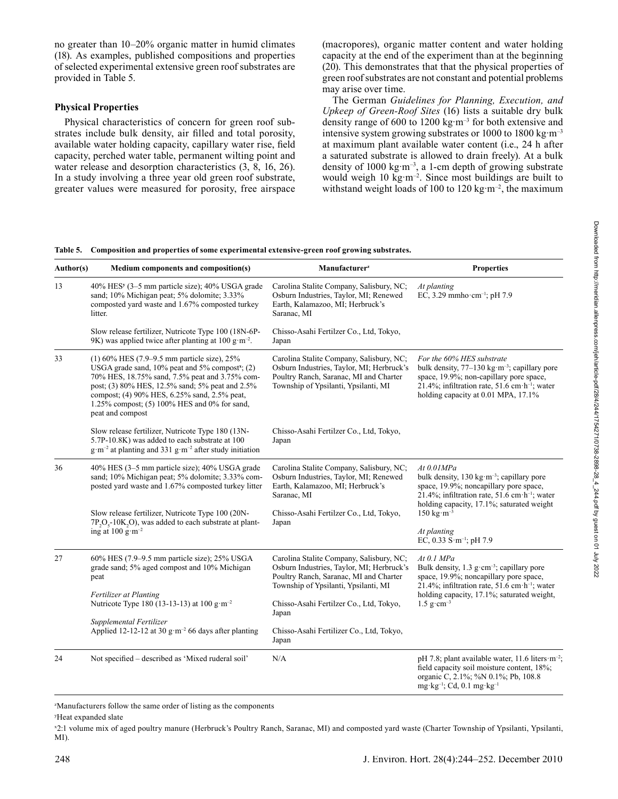no greater than 10–20% organic matter in humid climates (18). As examples, published compositions and properties of selected experimental extensive green roof substrates are provided in Table 5.

## **Physical Properties**

Physical characteristics of concern for green roof substrates include bulk density, air filled and total porosity, available water holding capacity, capillary water rise, field capacity, perched water table, permanent wilting point and water release and desorption characteristics (3, 8, 16, 26). In a study involving a three year old green roof substrate, greater values were measured for porosity, free airspace

(macropores), organic matter content and water holding capacity at the end of the experiment than at the beginning (20). This demonstrates that that the physical properties of green roof substrates are not constant and potential problems may arise over time.

The German *Guidelines for Planning, Execution, and Upkeep of Green-Roof Sites* (16) lists a suitable dry bulk density range of 600 to 1200 kg·m–3 for both extensive and intensive system growing substrates or 1000 to 1800 kg $\rm m^{-3}$ at maximum plant available water content (i.e., 24 h after a saturated substrate is allowed to drain freely). At a bulk density of 1000 kg·m<sup>-3</sup>, a 1-cm depth of growing substrate would weigh 10 kg·m<sup>-2</sup>. Since most buildings are built to withstand weight loads of 100 to 120 kg·m<sup>-2</sup>, the maximum

#### **Table 5. Composition and properties of some experimental extensive-green roof growing substrates.**

| Author(s) | Medium components and composition(s)                                                                                                                                                                                                                                                                                                        | Manufacturer <sup>z</sup>                                                                                                                                               | <b>Properties</b>                                                                                                                                                                                                                                                                |  |
|-----------|---------------------------------------------------------------------------------------------------------------------------------------------------------------------------------------------------------------------------------------------------------------------------------------------------------------------------------------------|-------------------------------------------------------------------------------------------------------------------------------------------------------------------------|----------------------------------------------------------------------------------------------------------------------------------------------------------------------------------------------------------------------------------------------------------------------------------|--|
| 13        | 40% HES <sup>y</sup> (3–5 mm particle size); 40% USGA grade<br>sand; 10% Michigan peat; 5% dolomite; 3.33%<br>composted yard waste and 1.67% composted turkey<br>litter.                                                                                                                                                                    | Carolina Stalite Company, Salisbury, NC;<br>Osburn Industries, Taylor, MI; Renewed<br>Earth, Kalamazoo, MI; Herbruck's<br>Saranac, MI                                   | At planting<br>EC, 3.29 mmho·cm <sup>-1</sup> ; pH 7.9                                                                                                                                                                                                                           |  |
|           | Slow release fertilizer, Nutricote Type 100 (18N-6P-<br>9K) was applied twice after planting at 100 g·m <sup>-2</sup> .                                                                                                                                                                                                                     | Chisso-Asahi Fertilzer Co., Ltd, Tokyo,<br>Japan                                                                                                                        |                                                                                                                                                                                                                                                                                  |  |
| 33        | $(1)$ 60% HES (7.9–9.5 mm particle size), 25%<br>USGA grade sand, $10\%$ peat and $5\%$ compost <sup>x</sup> ; (2)<br>70% HES, 18.75% sand, 7.5% peat and 3.75% com-<br>post; (3) 80% HES, 12.5% sand; 5% peat and 2.5%<br>compost; (4) 90% HES, 6.25% sand, 2.5% peat,<br>1.25% compost; (5) 100% HES and 0% for sand,<br>peat and compost | Carolina Stalite Company, Salisbury, NC;<br>Osburn Industries, Taylor, MI; Herbruck's<br>Poultry Ranch, Saranac, MI and Charter<br>Township of Ypsilanti, Ypsilanti, MI | For the 60% HES substrate<br>bulk density, $77-130 \text{ kg} \cdot \text{m}^{-3}$ ; capillary pore<br>space, 19.9%; non-capillary pore space,<br>21.4%; infiltration rate, $51.6$ cm·h <sup>-1</sup> ; water<br>holding capacity at 0.01 MPA, 17.1%                             |  |
|           | Slow release fertilizer, Nutricote Type 180 (13N-<br>5.7P-10.8K) was added to each substrate at 100<br>$g \cdot m^{-2}$ at planting and 331 g $\cdot m^{-2}$ after study initiation                                                                                                                                                         | Chisso-Asahi Fertilzer Co., Ltd, Tokyo,<br>Japan                                                                                                                        |                                                                                                                                                                                                                                                                                  |  |
| 36        | 40% HES (3–5 mm particle size); 40% USGA grade<br>sand; 10% Michigan peat; 5% dolomite; 3.33% com-<br>posted yard waste and 1.67% composted turkey litter                                                                                                                                                                                   | Carolina Stalite Company, Salisbury, NC;<br>Osburn Industries, Taylor, MI; Renewed<br>Earth, Kalamazoo, MI; Herbruck's<br>Saranac, MI                                   | At 0.01MPa<br>bulk density, $130 \text{ kg} \cdot \text{m}^{-3}$ ; capillary pore<br>space, 19.9%; noncapillary pore space,<br>21.4%; infiltration rate, 51.6 cm $\cdot$ h <sup>-1</sup> ; water<br>holding capacity, 17.1%; saturated weight                                    |  |
|           | Slow release fertilizer, Nutricote Type 100 (20N-<br>$7P_2O_5$ -10K <sub>2</sub> O), was added to each substrate at plant-<br>ing at 100 $g \cdot m^{-2}$                                                                                                                                                                                   | Chisso-Asahi Fertilzer Co., Ltd, Tokyo,<br>Japan                                                                                                                        | $150 \text{ kg} \cdot \text{m}^{-3}$                                                                                                                                                                                                                                             |  |
|           |                                                                                                                                                                                                                                                                                                                                             |                                                                                                                                                                         | At planting<br>EC, 0.33 S $\cdot$ m <sup>-1</sup> ; pH 7.9                                                                                                                                                                                                                       |  |
| 27        | 60% HES (7.9–9.5 mm particle size); 25% USGA<br>grade sand; 5% aged compost and 10% Michigan<br>peat                                                                                                                                                                                                                                        | Carolina Stalite Company, Salisbury, NC;<br>Osburn Industries, Taylor, MI; Herbruck's<br>Poultry Ranch, Saranac, MI and Charter<br>Township of Ypsilanti, Ypsilanti, MI | At 0.1 MPa<br>Bulk density, $1.3 \text{ g} \cdot \text{cm}^{-3}$ ; capillary pore<br>space, 19.9%; noncapillary pore space,<br>21.4%; infiltration rate, $51.6$ cm·h <sup>-1</sup> ; water<br>holding capacity, 17.1%; saturated weight,<br>$1.5 \text{ g} \cdot \text{cm}^{-3}$ |  |
|           | <b>Fertilizer at Planting</b><br>Nutricote Type 180 (13-13-13) at 100 g·m <sup>-2</sup>                                                                                                                                                                                                                                                     | Chisso-Asahi Fertilzer Co., Ltd, Tokyo,<br>Japan                                                                                                                        |                                                                                                                                                                                                                                                                                  |  |
|           | Supplemental Fertilizer<br>Applied 12-12-12 at 30 g·m <sup>-2</sup> 66 days after planting                                                                                                                                                                                                                                                  | Chisso-Asahi Fertilizer Co., Ltd, Tokyo,<br>Japan                                                                                                                       |                                                                                                                                                                                                                                                                                  |  |
| 24        | Not specified – described as 'Mixed ruderal soil'                                                                                                                                                                                                                                                                                           | N/A                                                                                                                                                                     | pH 7.8; plant available water, 11.6 liters $m^{-2}$ ;<br>field capacity soil moisture content, 18%;<br>organic C, 2.1%; %N 0.1%; Pb, 108.8<br>$mg \cdot kg^{-1}$ ; Cd, 0.1 mg $\cdot kg^{-1}$                                                                                    |  |

z Manufacturers follow the same order of listing as the components

y Heat expanded slate

x 2:1 volume mix of aged poultry manure (Herbruck's Poultry Ranch, Saranac, MI) and composted yard waste (Charter Township of Ypsilanti, Ypsilanti, MI).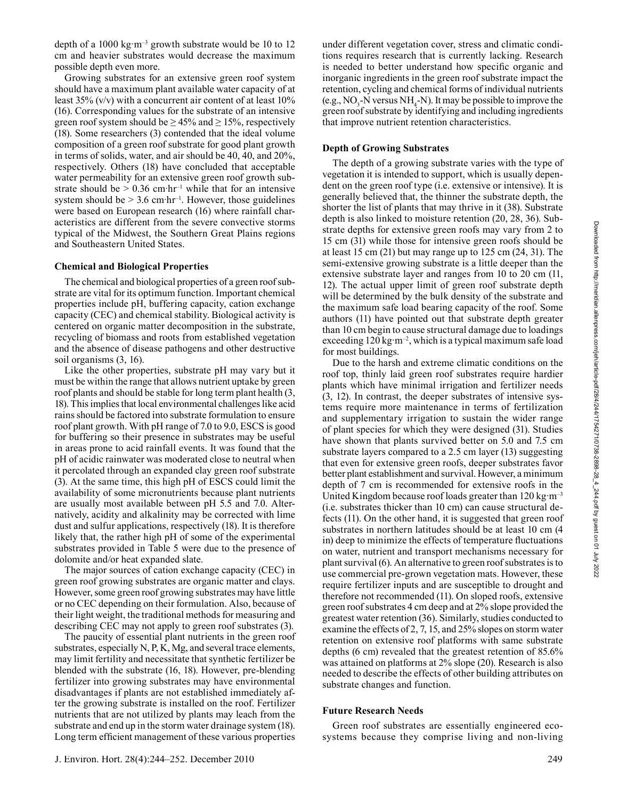depth of a 1000 kg·m–3 growth substrate would be 10 to 12 cm and heavier substrates would decrease the maximum possible depth even more.

Growing substrates for an extensive green roof system should have a maximum plant available water capacity of at least  $35\%$  (v/v) with a concurrent air content of at least  $10\%$ (16). Corresponding values for the substrate of an intensive green roof system should be  $\geq$  45% and  $\geq$  15%, respectively (18). Some researchers (3) contended that the ideal volume composition of a green roof substrate for good plant growth in terms of solids, water, and air should be 40, 40, and 20%, respectively. Others (18) have concluded that acceptable water permeability for an extensive green roof growth substrate should be  $> 0.36$  cm·hr<sup>-1</sup> while that for an intensive system should be  $> 3.6$  cm·hr<sup>-1</sup>. However, those guidelines were based on European research (16) where rainfall characteristics are different from the severe convective storms typical of the Midwest, the Southern Great Plains regions and Southeastern United States.

#### **Chemical and Biological Properties**

The chemical and biological properties of a green roof substrate are vital for its optimum function. Important chemical properties include pH, buffering capacity, cation exchange capacity (CEC) and chemical stability. Biological activity is centered on organic matter decomposition in the substrate, recycling of biomass and roots from established vegetation and the absence of disease pathogens and other destructive soil organisms (3, 16).

Like the other properties, substrate pH may vary but it must be within the range that allows nutrient uptake by green roof plants and should be stable for long term plant health (3, 18). This implies that local environmental challenges like acid rains should be factored into substrate formulation to ensure roof plant growth. With pH range of 7.0 to 9.0, ESCS is good for buffering so their presence in substrates may be useful in areas prone to acid rainfall events. It was found that the pH of acidic rainwater was moderated close to neutral when it percolated through an expanded clay green roof substrate (3). At the same time, this high pH of ESCS could limit the availability of some micronutrients because plant nutrients are usually most available between pH 5.5 and 7.0. Alternatively, acidity and alkalinity may be corrected with lime dust and sulfur applications, respectively (18). It is therefore likely that, the rather high pH of some of the experimental substrates provided in Table 5 were due to the presence of dolomite and/or heat expanded slate.

The major sources of cation exchange capacity (CEC) in green roof growing substrates are organic matter and clays. However, some green roof growing substrates may have little or no CEC depending on their formulation. Also, because of their light weight, the traditional methods for measuring and describing CEC may not apply to green roof substrates (3).

The paucity of essential plant nutrients in the green roof substrates, especially N, P, K, Mg, and several trace elements, may limit fertility and necessitate that synthetic fertilizer be blended with the substrate (16, 18). However, pre-blending fertilizer into growing substrates may have environmental disadvantages if plants are not established immediately after the growing substrate is installed on the roof. Fertilizer nutrients that are not utilized by plants may leach from the substrate and end up in the storm water drainage system (18). Long term efficient management of these various properties under different vegetation cover, stress and climatic conditions requires research that is currently lacking. Research is needed to better understand how specific organic and inorganic ingredients in the green roof substrate impact the retention, cycling and chemical forms of individual nutrients (e.g.,  $NO_3$ -N versus  $NH_4$ -N). It may be possible to improve the green roof substrate by identifying and including ingredients that improve nutrient retention characteristics.

#### **Depth of Growing Substrates**

The depth of a growing substrate varies with the type of vegetation it is intended to support, which is usually dependent on the green roof type (i.e. extensive or intensive). It is generally believed that, the thinner the substrate depth, the shorter the list of plants that may thrive in it (38). Substrate depth is also linked to moisture retention (20, 28, 36). Substrate depths for extensive green roofs may vary from 2 to 15 cm (31) while those for intensive green roofs should be at least 15 cm (21) but may range up to 125 cm (24, 31). The semi-extensive growing substrate is a little deeper than the extensive substrate layer and ranges from 10 to 20 cm (11, 12). The actual upper limit of green roof substrate depth will be determined by the bulk density of the substrate and the maximum safe load bearing capacity of the roof. Some authors (11) have pointed out that substrate depth greater than 10 cm begin to cause structural damage due to loadings exceeding 120 kg  $m^{-2}$ , which is a typical maximum safe load for most buildings.

Due to the harsh and extreme climatic conditions on the roof top, thinly laid green roof substrates require hardier plants which have minimal irrigation and fertilizer needs (3, 12). In contrast, the deeper substrates of intensive systems require more maintenance in terms of fertilization and supplementary irrigation to sustain the wider range of plant species for which they were designed (31). Studies have shown that plants survived better on 5.0 and 7.5 cm substrate layers compared to a 2.5 cm layer (13) suggesting that even for extensive green roofs, deeper substrates favor better plant establishment and survival. However, a minimum depth of 7 cm is recommended for extensive roofs in the United Kingdom because roof loads greater than  $120 \text{ kg} \cdot \text{m}^{-3}$ (i.e. substrates thicker than 10 cm) can cause structural defects (11). On the other hand, it is suggested that green roof substrates in northern latitudes should be at least 10 cm (4 in) deep to minimize the effects of temperature fluctuations on water, nutrient and transport mechanisms necessary for plant survival (6). An alternative to green roof substrates is to use commercial pre-grown vegetation mats. However, these require fertilizer inputs and are susceptible to drought and therefore not recommended (11). On sloped roofs, extensive green roof substrates 4 cm deep and at 2% slope provided the greatest water retention (36). Similarly, studies conducted to examine the effects of 2, 7, 15, and 25% slopes on storm water retention on extensive roof platforms with same substrate depths (6 cm) revealed that the greatest retention of 85.6% was attained on platforms at 2% slope (20). Research is also needed to describe the effects of other building attributes on substrate changes and function.

#### **Future Research Needs**

Green roof substrates are essentially engineered ecosystems because they comprise living and non-living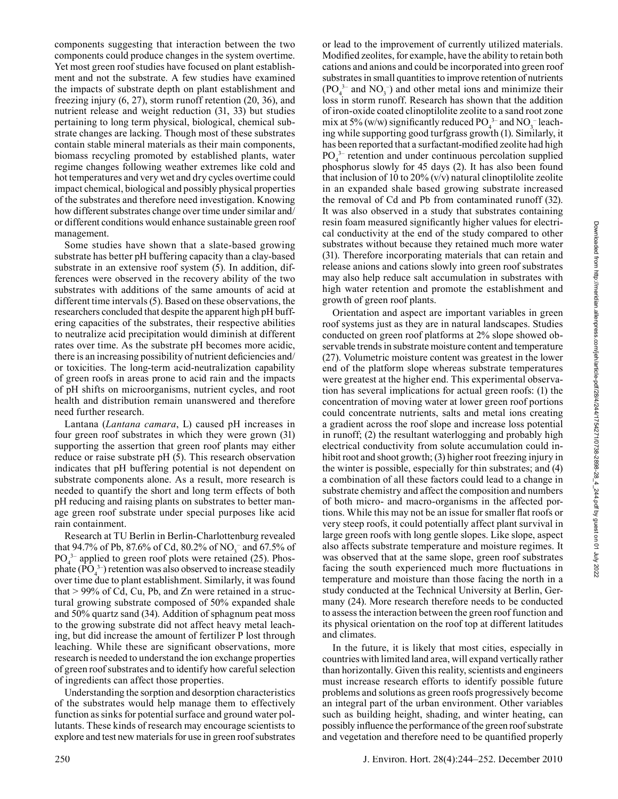components suggesting that interaction between the two components could produce changes in the system overtime. Yet most green roof studies have focused on plant establishment and not the substrate. A few studies have examined the impacts of substrate depth on plant establishment and freezing injury (6, 27), storm runoff retention (20, 36), and nutrient release and weight reduction (31, 33) but studies pertaining to long term physical, biological, chemical substrate changes are lacking. Though most of these substrates contain stable mineral materials as their main components, biomass recycling promoted by established plants, water regime changes following weather extremes like cold and hot temperatures and very wet and dry cycles overtime could impact chemical, biological and possibly physical properties of the substrates and therefore need investigation. Knowing how different substrates change over time under similar and/ or different conditions would enhance sustainable green roof management.

Some studies have shown that a slate-based growing substrate has better pH buffering capacity than a clay-based substrate in an extensive roof system (5). In addition, differences were observed in the recovery ability of the two substrates with additions of the same amounts of acid at different time intervals (5). Based on these observations, the researchers concluded that despite the apparent high pH buffering capacities of the substrates, their respective abilities to neutralize acid precipitation would diminish at different rates over time. As the substrate pH becomes more acidic, there is an increasing possibility of nutrient deficiencies and/ or toxicities. The long-term acid-neutralization capability of green roofs in areas prone to acid rain and the impacts of pH shifts on microorganisms, nutrient cycles, and root health and distribution remain unanswered and therefore need further research.

Lantana (*Lantana camara*, L) caused pH increases in four green roof substrates in which they were grown (31) supporting the assertion that green roof plants may either reduce or raise substrate pH (5). This research observation indicates that pH buffering potential is not dependent on substrate components alone. As a result, more research is needed to quantify the short and long term effects of both pH reducing and raising plants on substrates to better manage green roof substrate under special purposes like acid rain containment.

Research at TU Berlin in Berlin-Charlottenburg revealed that 94.7% of Pb, 87.6% of Cd, 80.2% of NO<sub>3</sub><sup>-</sup> and 67.5% of  $PO<sub>4</sub><sup>3-</sup>$  applied to green roof plots were retained (25). Phosphate  $(PO<sub>4</sub><sup>3-</sup>)$  retention was also observed to increase steadily over time due to plant establishment. Similarly, it was found that > 99% of Cd, Cu, Pb, and Zn were retained in a structural growing substrate composed of 50% expanded shale and 50% quartz sand (34). Addition of sphagnum peat moss to the growing substrate did not affect heavy metal leaching, but did increase the amount of fertilizer P lost through leaching. While these are significant observations, more research is needed to understand the ion exchange properties of green roof substrates and to identify how careful selection of ingredients can affect those properties.

Understanding the sorption and desorption characteristics of the substrates would help manage them to effectively function as sinks for potential surface and ground water pollutants. These kinds of research may encourage scientists to explore and test new materials for use in green roof substrates or lead to the improvement of currently utilized materials. Modified zeolites, for example, have the ability to retain both cations and anions and could be incorporated into green roof substrates in small quantities to improve retention of nutrients  $(PO<sub>4</sub><sup>3-</sup>$  and NO<sub>3</sub><sup>-</sup>) and other metal ions and minimize their loss in storm runoff. Research has shown that the addition of iron-oxide coated clinoptilolite zeolite to a sand root zone mix at 5% (w/w) significantly reduced  $PO_4^{3-}$  and  $NO_3^{-}$  leaching while supporting good turfgrass growth (1). Similarly, it has been reported that a surfactant-modified zeolite had high PO<sub>4</sub><sup>3-</sup> retention and under continuous percolation supplied phosphorus slowly for 45 days (2). It has also been found that inclusion of 10 to  $20\%$  (v/v) natural clinoptilolite zeolite in an expanded shale based growing substrate increased the removal of Cd and Pb from contaminated runoff (32). It was also observed in a study that substrates containing resin foam measured significantly higher values for electrical conductivity at the end of the study compared to other substrates without because they retained much more water (31). Therefore incorporating materials that can retain and release anions and cations slowly into green roof substrates may also help reduce salt accumulation in substrates with high water retention and promote the establishment and growth of green roof plants.

Orientation and aspect are important variables in green roof systems just as they are in natural landscapes. Studies conducted on green roof platforms at 2% slope showed observable trends in substrate moisture content and temperature (27). Volumetric moisture content was greatest in the lower end of the platform slope whereas substrate temperatures were greatest at the higher end. This experimental observation has several implications for actual green roofs: (1) the concentration of moving water at lower green roof portions could concentrate nutrients, salts and metal ions creating a gradient across the roof slope and increase loss potential in runoff; (2) the resultant waterlogging and probably high electrical conductivity from solute accumulation could inhibit root and shoot growth; (3) higher root freezing injury in the winter is possible, especially for thin substrates; and (4) a combination of all these factors could lead to a change in substrate chemistry and affect the composition and numbers of both micro- and macro-organisms in the affected portions. While this may not be an issue for smaller flat roofs or very steep roofs, it could potentially affect plant survival in large green roofs with long gentle slopes. Like slope, aspect also affects substrate temperature and moisture regimes. It was observed that at the same slope, green roof substrates facing the south experienced much more fluctuations in temperature and moisture than those facing the north in a study conducted at the Technical University at Berlin, Germany (24). More research therefore needs to be conducted to assess the interaction between the green roof function and its physical orientation on the roof top at different latitudes and climates.

In the future, it is likely that most cities, especially in countries with limited land area, will expand vertically rather than horizontally. Given this reality, scientists and engineers must increase research efforts to identify possible future problems and solutions as green roofs progressively become an integral part of the urban environment. Other variables such as building height, shading, and winter heating, can possibly influence the performance of the green roof substrate and vegetation and therefore need to be quantified properly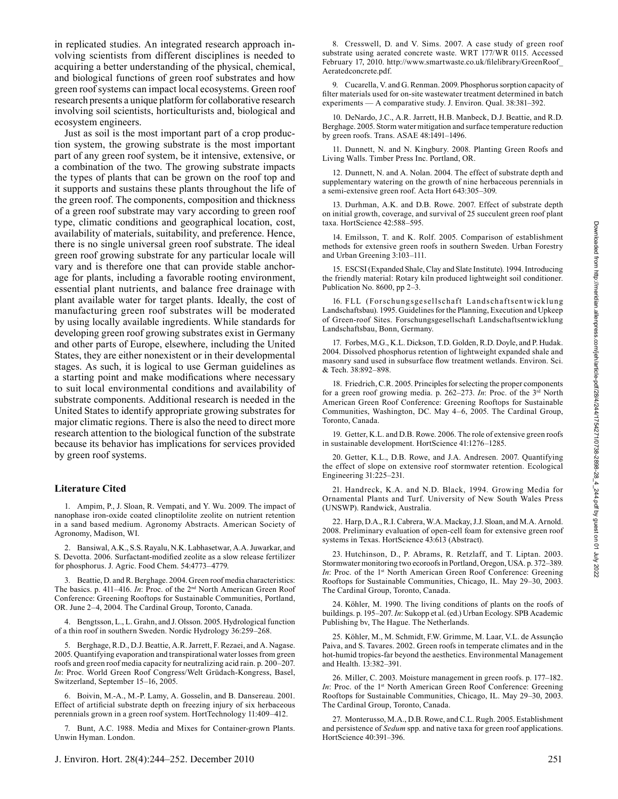in replicated studies. An integrated research approach involving scientists from different disciplines is needed to acquiring a better understanding of the physical, chemical, and biological functions of green roof substrates and how green roof systems can impact local ecosystems. Green roof research presents a unique platform for collaborative research involving soil scientists, horticulturists and, biological and ecosystem engineers.

Just as soil is the most important part of a crop production system, the growing substrate is the most important part of any green roof system, be it intensive, extensive, or a combination of the two. The growing substrate impacts the types of plants that can be grown on the roof top and it supports and sustains these plants throughout the life of the green roof. The components, composition and thickness of a green roof substrate may vary according to green roof type, climatic conditions and geographical location, cost, availability of materials, suitability, and preference. Hence, there is no single universal green roof substrate. The ideal green roof growing substrate for any particular locale will vary and is therefore one that can provide stable anchorage for plants, including a favorable rooting environment, essential plant nutrients, and balance free drainage with plant available water for target plants. Ideally, the cost of manufacturing green roof substrates will be moderated by using locally available ingredients. While standards for developing green roof growing substrates exist in Germany and other parts of Europe, elsewhere, including the United States, they are either nonexistent or in their developmental stages. As such, it is logical to use German guidelines as a starting point and make modifications where necessary to suit local environmental conditions and availability of substrate components. Additional research is needed in the United States to identify appropriate growing substrates for major climatic regions. There is also the need to direct more research attention to the biological function of the substrate because its behavior has implications for services provided by green roof systems.

## **Literature Cited**

1. Ampim, P., J. Sloan, R. Vempati, and Y. Wu. 2009. The impact of nanophase iron-oxide coated clinoptilolite zeolite on nutrient retention in a sand based medium. Agronomy Abstracts. American Society of Agronomy, Madison, WI.

2. Bansiwal, A.K., S.S. Rayalu, N.K. Labhasetwar, A.A. Juwarkar, and S. Devotta. 2006. Surfactant-modified zeolite as a slow release fertilizer for phosphorus. J. Agric. Food Chem. 54:4773–4779.

3. Beattie, D. and R. Berghage. 2004. Green roof media characteristics: The basics. p. 411-416. *In*: Proc. of the 2<sup>nd</sup> North American Green Roof Conference: Greening Rooftops for Sustainable Communities, Portland, OR. June 2–4, 2004. The Cardinal Group, Toronto, Canada.

4. Bengtsson, L., L. Grahn, and J. Olsson. 2005. Hydrological function of a thin roof in southern Sweden. Nordic Hydrology 36:259–268.

5. Berghage, R.D., D.J. Beattie, A.R. Jarrett, F. Rezaei, and A. Nagase. 2005. Quantifying evaporation and transpirational water losses from green roofs and green roof media capacity for neutralizing acid rain. p. 200–207. *In*: Proc. World Green Roof Congress/Welt Grüdach-Kongress, Basel, Switzerland, September 15–16, 2005.

6. Boivin, M.-A., M.-P. Lamy, A. Gosselin, and B. Dansereau. 2001. Effect of artificial substrate depth on freezing injury of six herbaceous perennials grown in a green roof system. HortTechnology 11:409–412.

7. Bunt, A.C. 1988. Media and Mixes for Container-grown Plants. Unwin Hyman. London.

8. Cresswell, D. and V. Sims. 2007. A case study of green roof substrate using aerated concrete waste. WRT 177/WR 0115. Accessed February 17, 2010. http://www.smartwaste.co.uk/filelibrary/GreenRoof Aeratedconcrete.pdf.

9. Cucarella, V. and G. Renman. 2009. Phosphorus sorption capacity of filter materials used for on-site wastewater treatment determined in batch experiments — A comparative study. J. Environ. Qual. 38:381–392.

10. DeNardo, J.C., A.R. Jarrett, H.B. Manbeck, D.J. Beattie, and R.D. Berghage. 2005. Storm water mitigation and surface temperature reduction by green roofs. Trans. ASAE 48:1491–1496.

11. Dunnett, N. and N. Kingbury. 2008. Planting Green Roofs and Living Walls. Timber Press Inc. Portland, OR.

12. Dunnett, N. and A. Nolan. 2004. The effect of substrate depth and supplementary watering on the growth of nine herbaceous perennials in a semi-extensive green roof. Acta Hort 643:305–309.

13. Durhman, A.K. and D.B. Rowe. 2007. Effect of substrate depth on initial growth, coverage, and survival of 25 succulent green roof plant taxa. HortScience 42:588–595.

14. Emilsson, T. and K. Rolf. 2005. Comparison of establishment methods for extensive green roofs in southern Sweden. Urban Forestry and Urban Greening 3:103–111.

15. ESCSI (Expanded Shale, Clay and Slate Institute). 1994. Introducing the friendly material: Rotary kiln produced lightweight soil conditioner. Publication No. 8600, pp 2–3.

16. FLL (Forschungsgesellschaft Landschaftsentwicklung Landschaftsbau). 1995. Guidelines for the Planning, Execution and Upkeep of Green-roof Sites. Forschungsgesellschaft Landschaftsentwicklung Landschaftsbau, Bonn, Germany.

17. Forbes, M.G., K.L. Dickson, T.D. Golden, R.D. Doyle, and P. Hudak. 2004. Dissolved phosphorus retention of lightweight expanded shale and masonry sand used in subsurface flow treatment wetlands. Environ. Sci. & Tech. 38:892–898.

18. Friedrich, C.R. 2005. Principles for selecting the proper components for a green roof growing media. p. 262–273. *In*: Proc. of the 3rd North American Green Roof Conference: Greening Rooftops for Sustainable Communities, Washington, DC. May 4–6, 2005. The Cardinal Group, Toronto, Canada.

19. Getter, K.L. and D.B. Rowe. 2006. The role of extensive green roofs in sustainable development. HortScience 41:1276–1285.

20. Getter, K.L., D.B. Rowe, and J.A. Andresen. 2007. Quantifying the effect of slope on extensive roof stormwater retention. Ecological Engineering 31:225–231.

21. Handreck, K.A. and N.D. Black, 1994. Growing Media for Ornamental Plants and Turf. University of New South Wales Press (UNSWP). Randwick, Australia.

22. Harp, D.A., R.I. Cabrera, W.A. Mackay, J.J. Sloan, and M.A. Arnold. 2008. Preliminary evaluation of open-cell foam for extensive green roof systems in Texas. HortScience 43:613 (Abstract).

23. Hutchinson, D., P. Abrams, R. Retzlaff, and T. Liptan. 2003. Stormwater monitoring two ecoroofs in Portland, Oregon, USA. p. 372–389. *In*: Proc. of the 1<sup>st</sup> North American Green Roof Conference: Greening Rooftops for Sustainable Communities, Chicago, IL. May 29–30, 2003. The Cardinal Group, Toronto, Canada.

24. Köhler, M. 1990. The living conditions of plants on the roofs of buildings. p. 195–207. *In*: Sukopp et al. (ed.) Urban Ecology. SPB Academic Publishing bv, The Hague. The Netherlands.

25. Köhler, M., M. Schmidt, F.W. Grimme, M. Laar, V.L. de Assunçăo Paiva, and S. Tavares. 2002. Green roofs in temperate climates and in the hot-humid tropics-far beyond the aesthetics. Environmental Management and Health. 13:382–391.

26. Miller, C. 2003. Moisture management in green roofs. p. 177–182. *In*: Proc. of the 1<sup>st</sup> North American Green Roof Conference: Greening Rooftops for Sustainable Communities, Chicago, IL. May 29–30, 2003. The Cardinal Group, Toronto, Canada.

27. Monterusso, M.A., D.B. Rowe, and C.L. Rugh. 2005. Establishment and persistence of *Sedum* spp. and native taxa for green roof applications. HortScience 40:391–396.